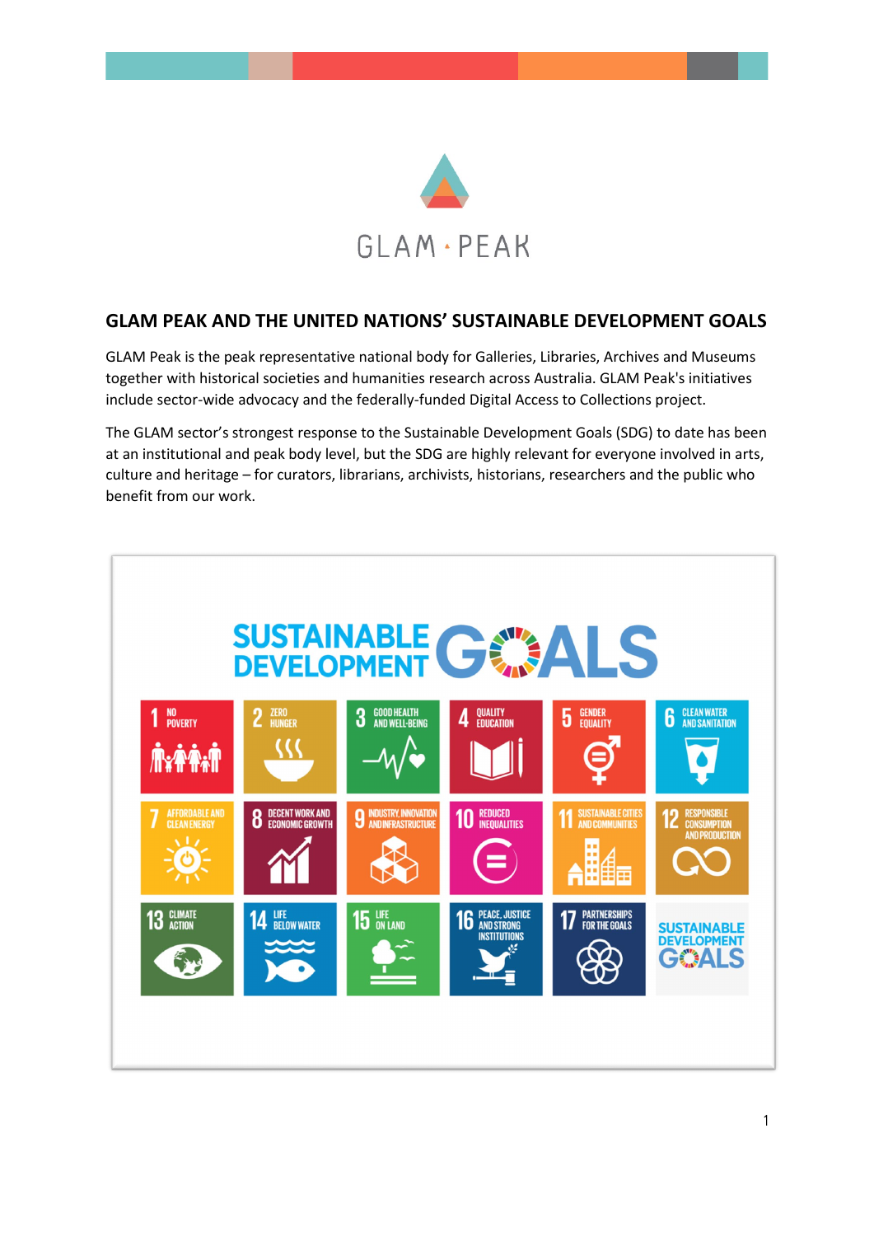

# **GLAM PEAK AND THE UNITED NATIONS' SUSTAINABLE DEVELOPMENT GOALS**

GLAM Peak is the peak representative national body for Galleries, Libraries, Archives and Museums together with historical societies and humanities research across Australia. GLAM Peak's initiatives include sector-wide advocacy and the federally-funded Digital Access to Collections project.

The GLAM sector's strongest response to the Sustainable Development Goals (SDG) to date has been at an institutional and peak body level, but the SDG are highly relevant for everyone involved in arts, culture and heritage – for curators, librarians, archivists, historians, researchers and the public who benefit from our work.

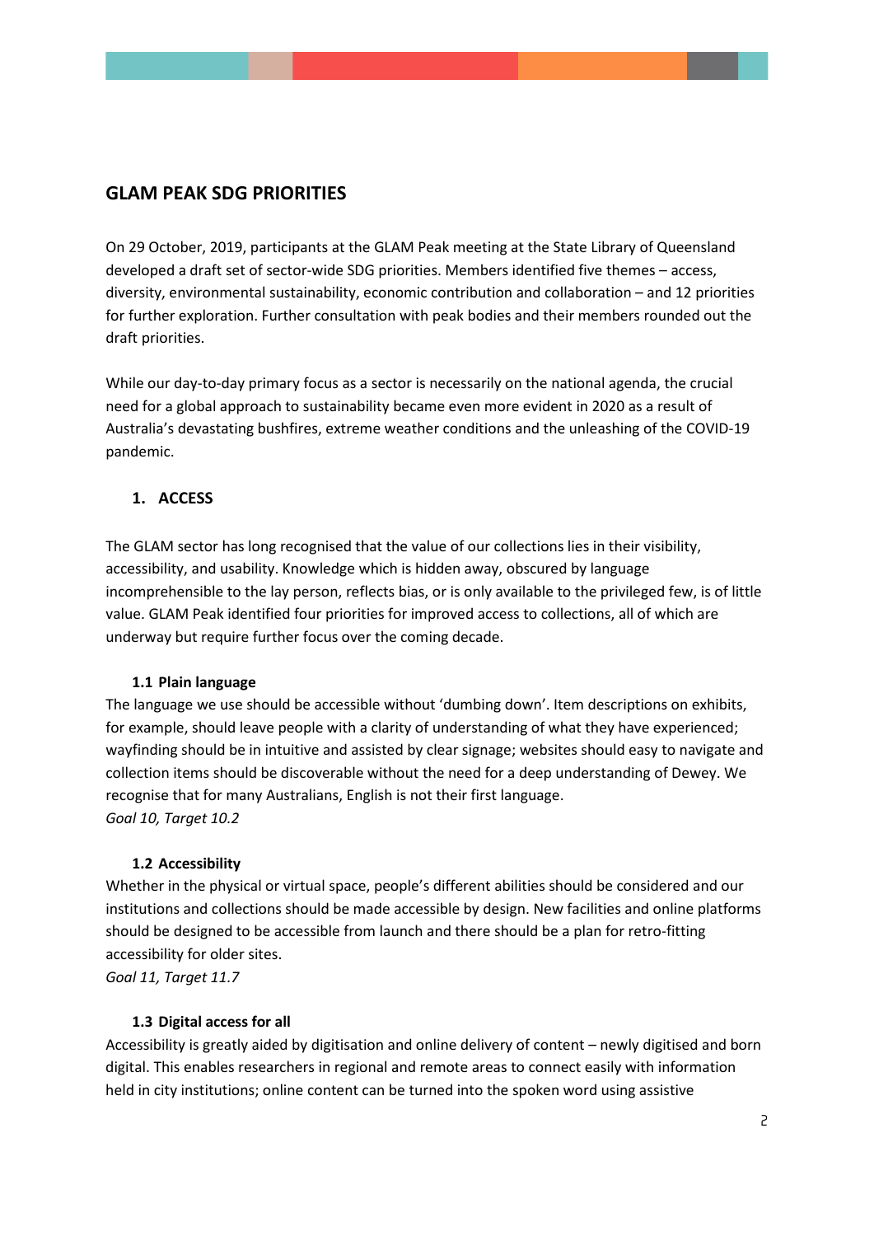# **GLAM PEAK SDG PRIORITIES**

On 29 October, 2019, participants at the GLAM Peak meeting at the State Library of Queensland developed a draft set of sector-wide SDG priorities. Members identified five themes – access, diversity, environmental sustainability, economic contribution and collaboration – and 12 priorities for further exploration. Further consultation with peak bodies and their members rounded out the draft priorities.

While our day-to-day primary focus as a sector is necessarily on the national agenda, the crucial need for a global approach to sustainability became even more evident in 2020 as a result of Australia's devastating bushfires, extreme weather conditions and the unleashing of the COVID-19 pandemic.

## **1. ACCESS**

The GLAM sector has long recognised that the value of our collections lies in their visibility, accessibility, and usability. Knowledge which is hidden away, obscured by language incomprehensible to the lay person, reflects bias, or is only available to the privileged few, is of little value. GLAM Peak identified four priorities for improved access to collections, all of which are underway but require further focus over the coming decade.

### **1.1 Plain language**

The language we use should be accessible without 'dumbing down'. Item descriptions on exhibits, for example, should leave people with a clarity of understanding of what they have experienced; wayfinding should be in intuitive and assisted by clear signage; websites should easy to navigate and collection items should be discoverable without the need for a deep understanding of Dewey. We recognise that for many Australians, English is not their first language. *Goal 10, Target 10.2*

### **1.2 Accessibility**

Whether in the physical or virtual space, people's different abilities should be considered and our institutions and collections should be made accessible by design. New facilities and online platforms should be designed to be accessible from launch and there should be a plan for retro-fitting accessibility for older sites.

*Goal 11, Target 11.7*

## **1.3 Digital access for all**

Accessibility is greatly aided by digitisation and online delivery of content – newly digitised and born digital. This enables researchers in regional and remote areas to connect easily with information held in city institutions; online content can be turned into the spoken word using assistive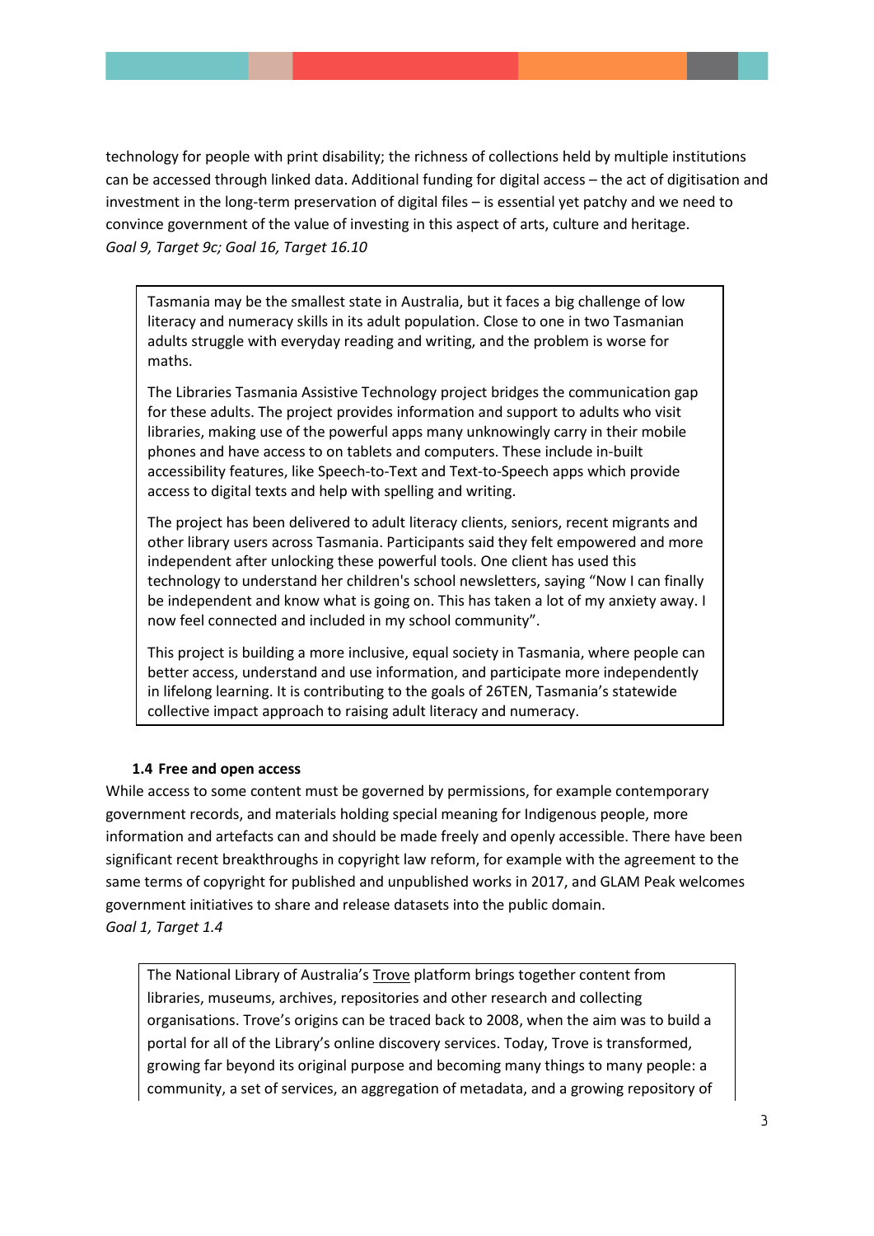technology for people with print disability; the richness of collections held by multiple institutions can be accessed through linked data. Additional funding for digital access – the act of digitisation and investment in the long-term preservation of digital files – is essential yet patchy and we need to convince government of the value of investing in this aspect of arts, culture and heritage. *Goal 9, Target 9c; Goal 16, Target 16.10*

Tasmania may be the smallest state in Australia, but it faces a big challenge of low literacy and numeracy skills in its adult population. Close to one in two Tasmanian adults struggle with everyday reading and writing, and the problem is worse for maths.

The Libraries Tasmania Assistive Technology project bridges the communication gap for these adults. The project provides information and support to adults who visit libraries, making use of the powerful apps many unknowingly carry in their mobile phones and have access to on tablets and computers. These include in-built accessibility features, like Speech-to-Text and Text-to-Speech apps which provide access to digital texts and help with spelling and writing.

The project has been delivered to adult literacy clients, seniors, recent migrants and other library users across Tasmania. Participants said they felt empowered and more independent after unlocking these powerful tools. One client has used this technology to understand her children's school newsletters, saying "Now I can finally be independent and know what is going on. This has taken a lot of my anxiety away. I now feel connected and included in my school community".

This project is building a more inclusive, equal society in Tasmania, where people can better access, understand and use information, and participate more independently in lifelong learning. It is contributing to the goals of 26TEN, Tasmania's statewide collective impact approach to raising adult literacy and numeracy.

## **1.4 Free and open access**

While access to some content must be governed by permissions, for example contemporary government records, and materials holding special meaning for Indigenous people, more information and artefacts can and should be made freely and openly accessible. There have been significant recent breakthroughs in copyright law reform, for example with the agreement to the same terms of copyright for published and unpublished works in 2017, and GLAM Peak welcomes government initiatives to share and release datasets into the public domain. *Goal 1, Target 1.4*

The National Library of Australia's [Trove](https://trove.nla.gov.au/) platform brings together content from libraries, museums, archives, repositories and other research and collecting organisations. Trove's origins can be traced back to 2008, when the aim was to build a portal for all of the Library's online discovery services. Today, Trove is transformed, growing far beyond its original purpose and becoming many things to many people: a community, a set of services, an aggregation of metadata, and a growing repository of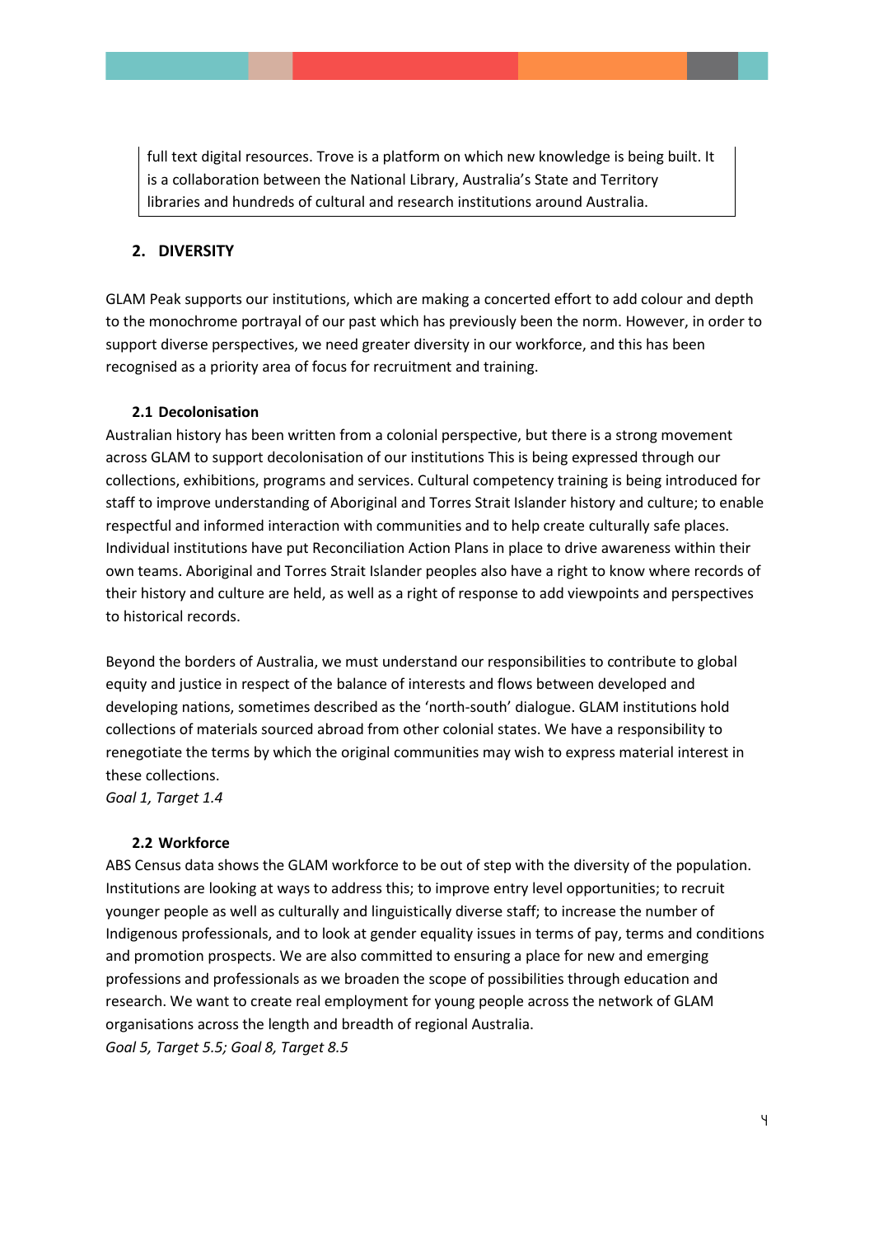full text digital resources. Trove is a platform on which new knowledge is being built. It is a collaboration between the National Library, Australia's State and Territory libraries and hundreds of cultural and research institutions around Australia.

### **2. DIVERSITY**

GLAM Peak supports our institutions, which are making a concerted effort to add colour and depth to the monochrome portrayal of our past which has previously been the norm. However, in order to support diverse perspectives, we need greater diversity in our workforce, and this has been recognised as a priority area of focus for recruitment and training.

#### **2.1 Decolonisation**

Australian history has been written from a colonial perspective, but there is a strong movement across GLAM to support decolonisation of our institutions This is being expressed through our collections, exhibitions, programs and services. Cultural competency training is being introduced for staff to improve understanding of Aboriginal and Torres Strait Islander history and culture; to enable respectful and informed interaction with communities and to help create culturally safe places. Individual institutions have put Reconciliation Action Plans in place to drive awareness within their own teams. Aboriginal and Torres Strait Islander peoples also have a right to know where records of their history and culture are held, as well as a right of response to add viewpoints and perspectives to historical records.

Beyond the borders of Australia, we must understand our responsibilities to contribute to global equity and justice in respect of the balance of interests and flows between developed and developing nations, sometimes described as the 'north-south' dialogue. GLAM institutions hold collections of materials sourced abroad from other colonial states. We have a responsibility to renegotiate the terms by which the original communities may wish to express material interest in these collections.

*Goal 1, Target 1.4*

### **2.2 Workforce**

ABS Census data shows the GLAM workforce to be out of step with the diversity of the population. Institutions are looking at ways to address this; to improve entry level opportunities; to recruit younger people as well as culturally and linguistically diverse staff; to increase the number of Indigenous professionals, and to look at gender equality issues in terms of pay, terms and conditions and promotion prospects. We are also committed to ensuring a place for new and emerging professions and professionals as we broaden the scope of possibilities through education and research. We want to create real employment for young people across the network of GLAM organisations across the length and breadth of regional Australia. *Goal 5, Target 5.5; Goal 8, Target 8.5*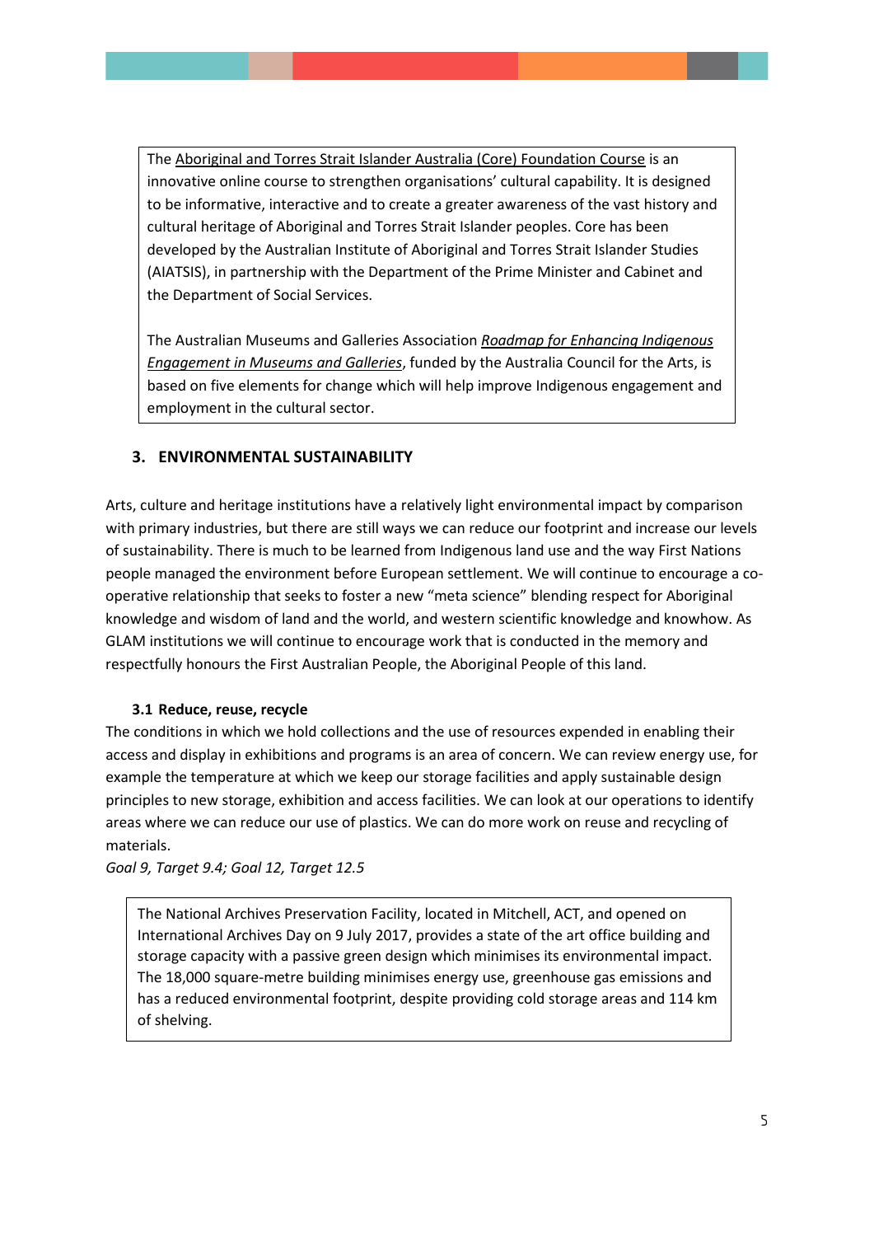The [Aboriginal and Torres Strait Islander Australia \(Core\) Foundation Course](https://aiatsis.gov.au/core/landing) is an innovative online course to strengthen organisations' cultural capability. It is designed to be informative, interactive and to create a greater awareness of the vast history and cultural heritage of Aboriginal and Torres Strait Islander peoples. Core has been developed by the Australian Institute of Aboriginal and Torres Strait Islander Studies (AIATSIS), in partnership with the Department of the Prime Minister and Cabinet and the Department of Social Services.

The Australian Museums and Galleries Association *[Roadmap for Enhancing Indigenous](https://www.amaga-indigenous.org.au/)  [Engagement in Museums and Galleries](https://www.amaga-indigenous.org.au/)*, funded by the Australia Council for the Arts, is based on five elements for change which will help improve Indigenous engagement and employment in the cultural sector.

## **3. ENVIRONMENTAL SUSTAINABILITY**

Arts, culture and heritage institutions have a relatively light environmental impact by comparison with primary industries, but there are still ways we can reduce our footprint and increase our levels of sustainability. There is much to be learned from Indigenous land use and the way First Nations people managed the environment before European settlement. We will continue to encourage a cooperative relationship that seeks to foster a new "meta science" blending respect for Aboriginal knowledge and wisdom of land and the world, and western scientific knowledge and knowhow. As GLAM institutions we will continue to encourage work that is conducted in the memory and respectfully honours the First Australian People, the Aboriginal People of this land.

### **3.1 Reduce, reuse, recycle**

The conditions in which we hold collections and the use of resources expended in enabling their access and display in exhibitions and programs is an area of concern. We can review energy use, for example the temperature at which we keep our storage facilities and apply sustainable design principles to new storage, exhibition and access facilities. We can look at our operations to identify areas where we can reduce our use of plastics. We can do more work on reuse and recycling of materials.

*Goal 9, Target 9.4; Goal 12, Target 12.5*

The National Archives Preservation Facility, located in Mitchell, ACT, and opened on International Archives Day on 9 July 2017, provides a state of the art office building and storage capacity with a passive green design which minimises its environmental impact. The 18,000 square-metre building minimises energy use, greenhouse gas emissions and has a reduced environmental footprint, despite providing cold storage areas and 114 km of shelving.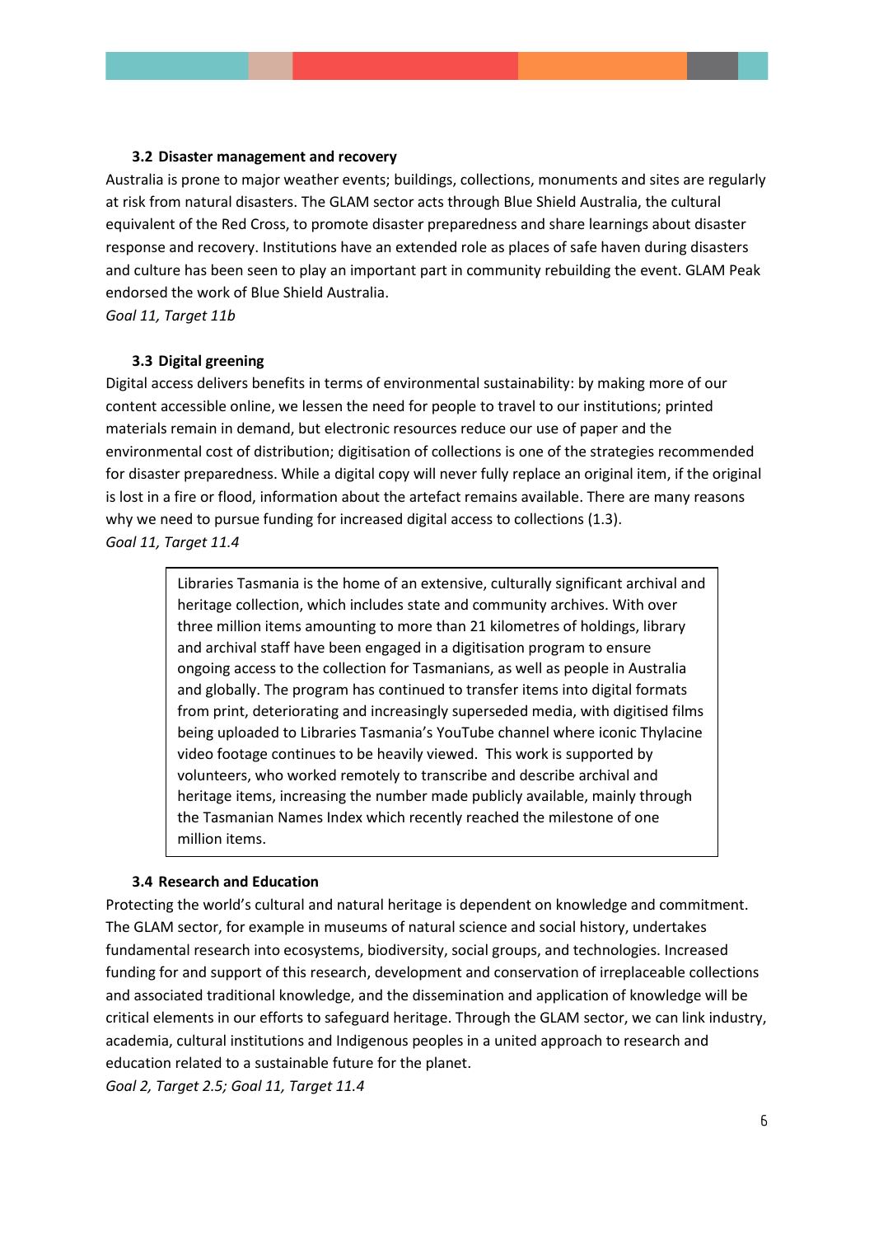#### **3.2 Disaster management and recovery**

Australia is prone to major weather events; buildings, collections, monuments and sites are regularly at risk from natural disasters. The GLAM sector acts through Blue Shield Australia, the cultural equivalent of the Red Cross, to promote disaster preparedness and share learnings about disaster response and recovery. Institutions have an extended role as places of safe haven during disasters and culture has been seen to play an important part in community rebuilding the event. GLAM Peak endorsed the work of Blue Shield Australia.

*Goal 11, Target 11b*

#### **3.3 Digital greening**

Digital access delivers benefits in terms of environmental sustainability: by making more of our content accessible online, we lessen the need for people to travel to our institutions; printed materials remain in demand, but electronic resources reduce our use of paper and the environmental cost of distribution; digitisation of collections is one of the strategies recommended for disaster preparedness. While a digital copy will never fully replace an original item, if the original is lost in a fire or flood, information about the artefact remains available. There are many reasons why we need to pursue funding for increased digital access to collections (1.3). *Goal 11, Target 11.4*

> Libraries Tasmania is the home of an extensive, culturally significant archival and heritage collection, which includes state and community archives. With over three million items amounting to more than 21 kilometres of holdings, library and archival staff have been engaged in a digitisation program to ensure ongoing access to the collection for Tasmanians, as well as people in Australia and globally. The program has continued to transfer items into digital formats from print, deteriorating and increasingly superseded media, with digitised films being uploaded to Libraries Tasmania's YouTube channel where iconic Thylacine video footage continues to be heavily viewed. This work is supported by volunteers, who worked remotely to transcribe and describe archival and heritage items, increasing the number made publicly available, mainly through the Tasmanian Names Index which recently reached the milestone of one million items.

#### **3.4 Research and Education**

Protecting the world's cultural and natural heritage is dependent on knowledge and commitment. The GLAM sector, for example in museums of natural science and social history, undertakes fundamental research into ecosystems, biodiversity, social groups, and technologies. Increased funding for and support of this research, development and conservation of irreplaceable collections and associated traditional knowledge, and the dissemination and application of knowledge will be critical elements in our efforts to safeguard heritage. Through the GLAM sector, we can link industry, academia, cultural institutions and Indigenous peoples in a united approach to research and education related to a sustainable future for the planet.

*Goal 2, Target 2.5; Goal 11, Target 11.4*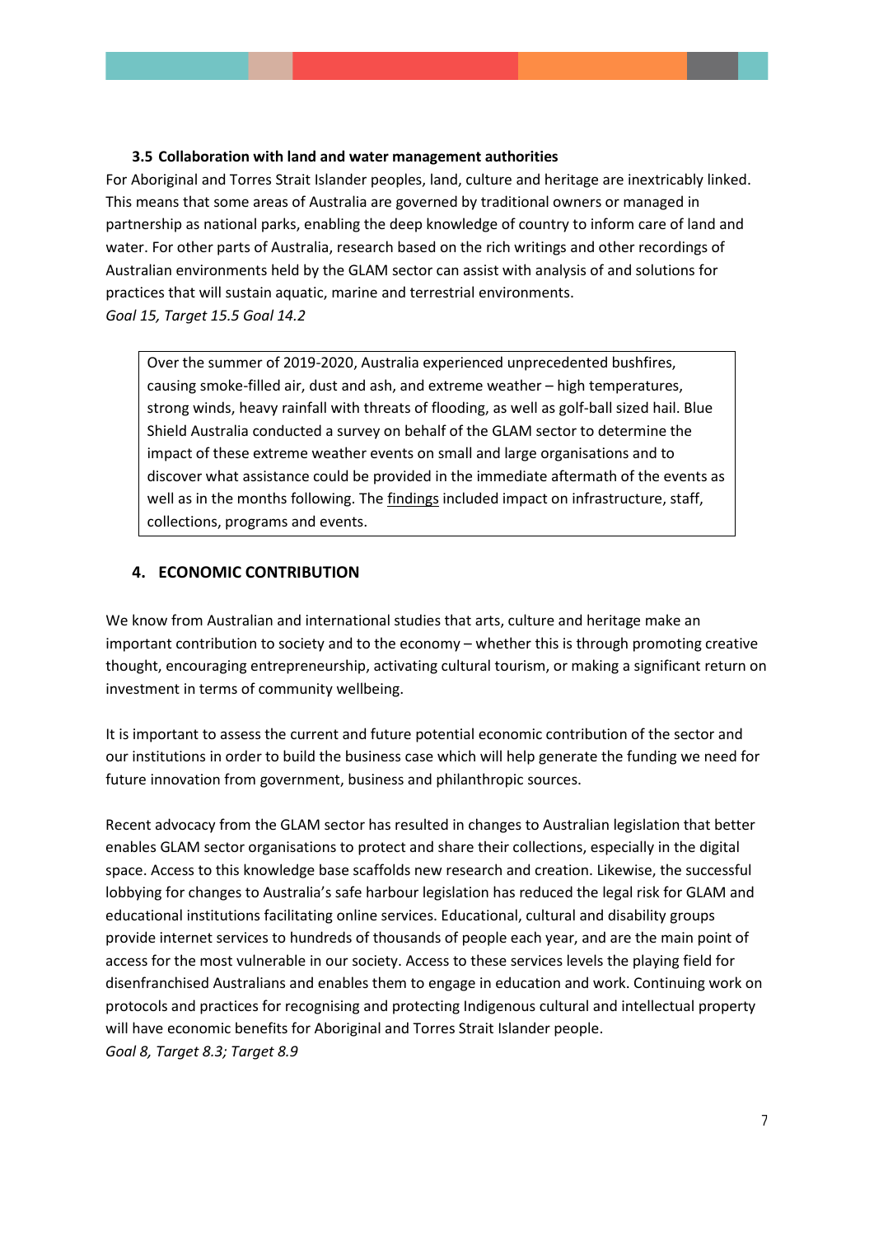### **3.5 Collaboration with land and water management authorities**

For Aboriginal and Torres Strait Islander peoples, land, culture and heritage are inextricably linked. This means that some areas of Australia are governed by traditional owners or managed in partnership as national parks, enabling the deep knowledge of country to inform care of land and water. For other parts of Australia, research based on the rich writings and other recordings of Australian environments held by the GLAM sector can assist with analysis of and solutions for practices that will sustain aquatic, marine and terrestrial environments. *Goal 15, Target 15.5 Goal 14.2*

Over the summer of 2019-2020, Australia experienced unprecedented bushfires, causing smoke-filled air, dust and ash, and extreme weather – high temperatures, strong winds, heavy rainfall with threats of flooding, as well as golf-ball sized hail. Blue Shield Australia conducted a survey on behalf of the GLAM sector to determine the impact of these extreme weather events on small and large organisations and to discover what assistance could be provided in the immediate aftermath of the events as well as in the months following. The [findings](http://blueshieldaustralia.org.au/wp-content/uploads/2020/04/Impact-of-Fire-and-Storm-Events-on-GLAM-Institutions-in-Australia-2020.pdf) included impact on infrastructure, staff, collections, programs and events.

## **4. ECONOMIC CONTRIBUTION**

We know from Australian and international studies that arts, culture and heritage make an important contribution to society and to the economy – whether this is through promoting creative thought, encouraging entrepreneurship, activating cultural tourism, or making a significant return on investment in terms of community wellbeing.

It is important to assess the current and future potential economic contribution of the sector and our institutions in order to build the business case which will help generate the funding we need for future innovation from government, business and philanthropic sources.

Recent advocacy from the GLAM sector has resulted in changes to Australian legislation that better enables GLAM sector organisations to protect and share their collections, especially in the digital space. Access to this knowledge base scaffolds new research and creation. Likewise, the successful lobbying for changes to Australia's safe harbour legislation has reduced the legal risk for GLAM and educational institutions facilitating online services. Educational, cultural and disability groups provide internet services to hundreds of thousands of people each year, and are the main point of access for the most vulnerable in our society. Access to these services levels the playing field for disenfranchised Australians and enables them to engage in education and work. Continuing work on protocols and practices for recognising and protecting Indigenous cultural and intellectual property will have economic benefits for Aboriginal and Torres Strait Islander people. *Goal 8, Target 8.3; Target 8.9*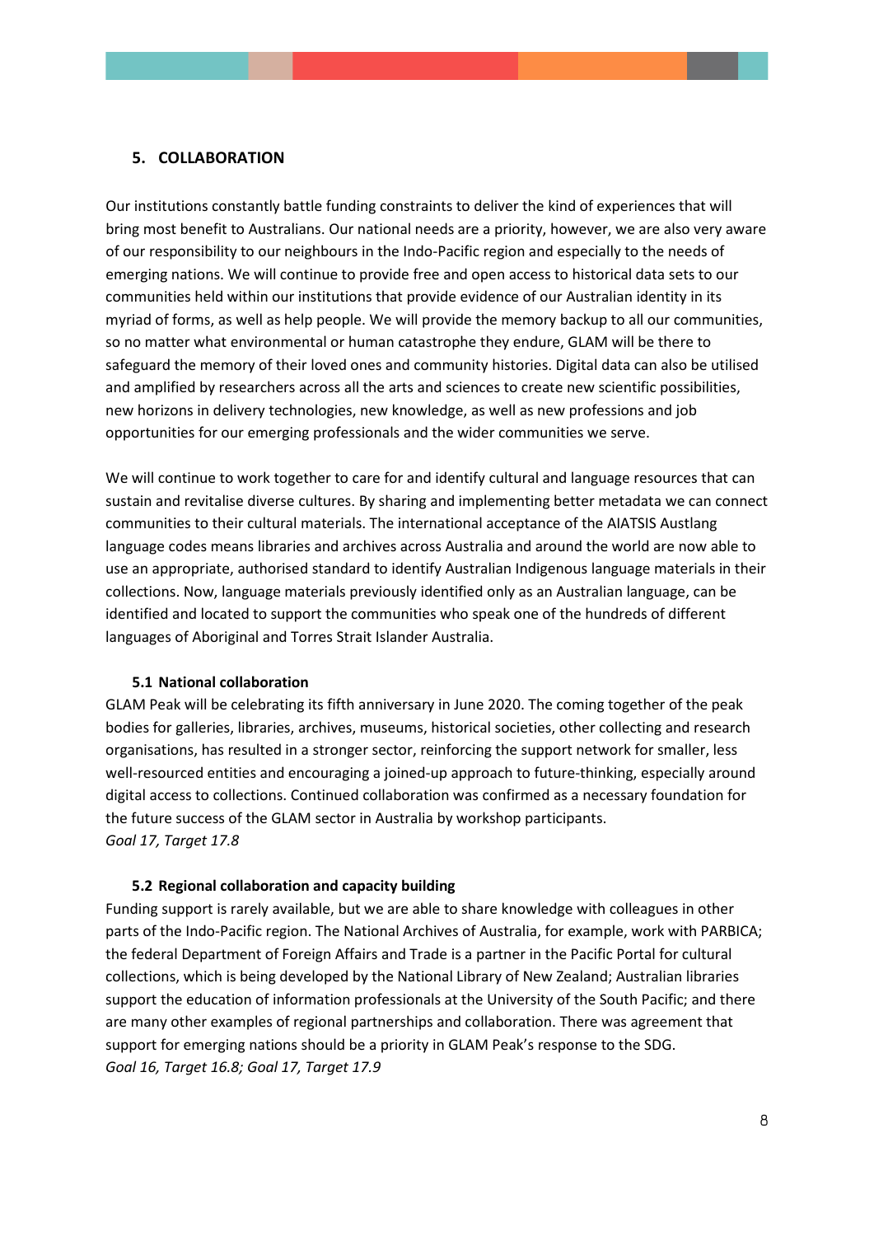### **5. COLLABORATION**

Our institutions constantly battle funding constraints to deliver the kind of experiences that will bring most benefit to Australians. Our national needs are a priority, however, we are also very aware of our responsibility to our neighbours in the Indo-Pacific region and especially to the needs of emerging nations. We will continue to provide free and open access to historical data sets to our communities held within our institutions that provide evidence of our Australian identity in its myriad of forms, as well as help people. We will provide the memory backup to all our communities, so no matter what environmental or human catastrophe they endure, GLAM will be there to safeguard the memory of their loved ones and community histories. Digital data can also be utilised and amplified by researchers across all the arts and sciences to create new scientific possibilities, new horizons in delivery technologies, new knowledge, as well as new professions and job opportunities for our emerging professionals and the wider communities we serve.

We will continue to work together to care for and identify cultural and language resources that can sustain and revitalise diverse cultures. By sharing and implementing better metadata we can connect communities to their cultural materials. The international acceptance of the AIATSIS Austlang language codes means libraries and archives across Australia and around the world are now able to use an appropriate, authorised standard to identify Australian Indigenous language materials in their collections. Now, language materials previously identified only as an Australian language, can be identified and located to support the communities who speak one of the hundreds of different languages of Aboriginal and Torres Strait Islander Australia.

### **5.1 National collaboration**

GLAM Peak will be celebrating its fifth anniversary in June 2020. The coming together of the peak bodies for galleries, libraries, archives, museums, historical societies, other collecting and research organisations, has resulted in a stronger sector, reinforcing the support network for smaller, less well-resourced entities and encouraging a joined-up approach to future-thinking, especially around digital access to collections. Continued collaboration was confirmed as a necessary foundation for the future success of the GLAM sector in Australia by workshop participants. *Goal 17, Target 17.8*

#### **5.2 Regional collaboration and capacity building**

Funding support is rarely available, but we are able to share knowledge with colleagues in other parts of the Indo-Pacific region. The National Archives of Australia, for example, work with PARBICA; the federal Department of Foreign Affairs and Trade is a partner in the Pacific Portal for cultural collections, which is being developed by the National Library of New Zealand; Australian libraries support the education of information professionals at the University of the South Pacific; and there are many other examples of regional partnerships and collaboration. There was agreement that support for emerging nations should be a priority in GLAM Peak's response to the SDG. *Goal 16, Target 16.8; Goal 17, Target 17.9*